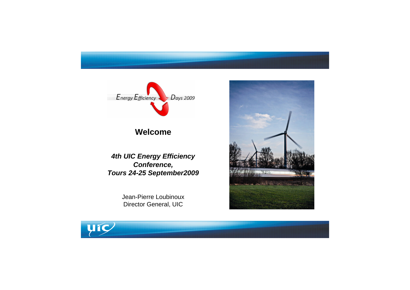

## Welcome

**4th UIC Energy Efficiency** Conference, Tours 24-25 September2009

> Jean-Pierre Loubinoux Director General, UIC







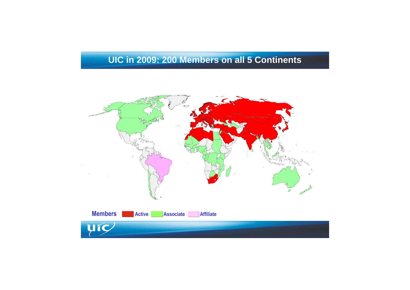# UIC in 2009: 200 Members on all 5 Continents



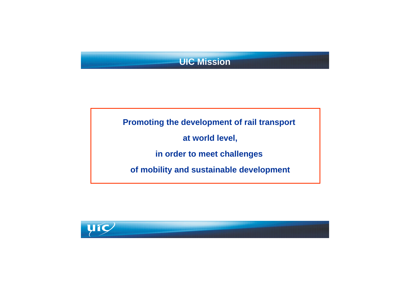# **UIC Mission**

Promoting the development of rail transport at world level, in order to meet challenges of mobility and sustainable development







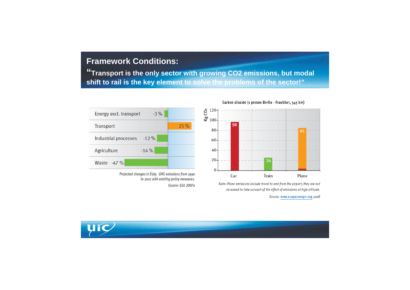## **Framework Conditions:**

**"Transport is the only sector with growing CO2 emissions, but modal shift to rail is the key element to solve the problems of the sector!"**



Projected changes in EU15 GHG emissions from 1990 to 2010 with existing policy measures. Source: EEA 2007a





Note: Plane emissions include travel to and from the airport; they are not increased to take account of the effect of emissions at high altitude.

Source: www.ecopassenger.org 2008





|    | $\cdots \quad - \quad -$ |  |
|----|--------------------------|--|
|    | $\cdots$ $\cdots$        |  |
|    |                          |  |
| ×. | $- - -$                  |  |
|    |                          |  |
| ×. | $\sim$ $ -$              |  |
|    | $- - - -$                |  |
|    |                          |  |
|    | $- - - +$                |  |
|    |                          |  |

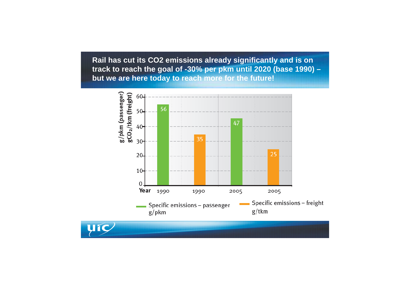**Rail has cut its CO2 emissions already significantly and is on track to reach the goal of -30% per pkm until 2020 (base 1990) – but we are here today to reach more for the future!**



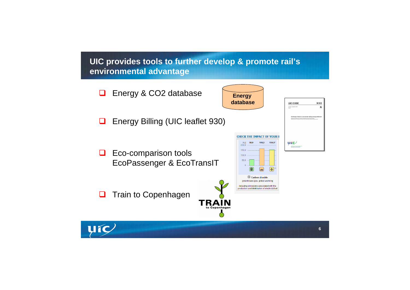**UIC provides tools to further develop & promote rail's environmental advantage**





| 930                                                              |
|------------------------------------------------------------------|
| R                                                                |
| ò,<br>way energy settlement<br>postantiške<br>obode Stherenwielv |
|                                                                  |
|                                                                  |
|                                                                  |
|                                                                  |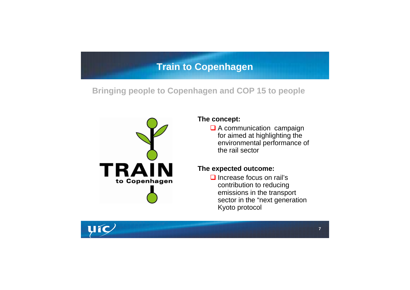# **Train to Copenhagen**

#### **The concept:**

**Q** A communication campaign for aimed at highlighting the environmental performance of the rail sector

**Q** Increase focus on rail's contribution to reducing emissions in the transport sector in the "next generation Kyoto protocol





#### **The expected outcome:**

**Bringing people to Copenhagen and COP 15 to people**

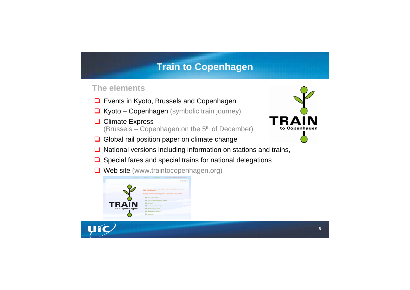# **Train to Copenhagen**

## **The elements**

- **□ Events in Kyoto, Brussels and Copenhagen**
- $\Box$  Kyoto Copenhagen (symbolic train journey)
- **□ Climate Express** (Brussels – Copenhagen on the 5<sup>th</sup> of December)
- Global rail position paper on climate change
- $\Box$  National versions including information on stations and trains,
- $\Box$  Special fares and special trains for national delegations
- **□ Web site (www.traintocopenhagen.org)**







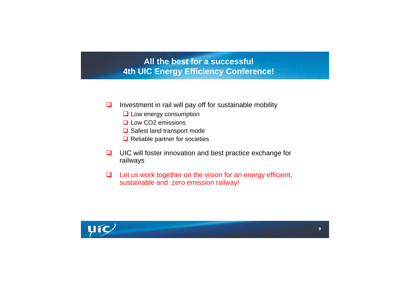## **All the best for a successful 4th UIC Energy Efficiency Conference!**

- $\Box$  Investment in rail will pay off for sustainable mobility
	- **Low energy consumption**
	- **Low CO2 emissions**
	- **□** Safest land transport mode
	- **□** Reliable partner for societies
- □ UIC will foster innovation and best practice exchange for railways
- $\Box$  Let us work together on the vision for an energy efficient, sustainable and zero emission railway!